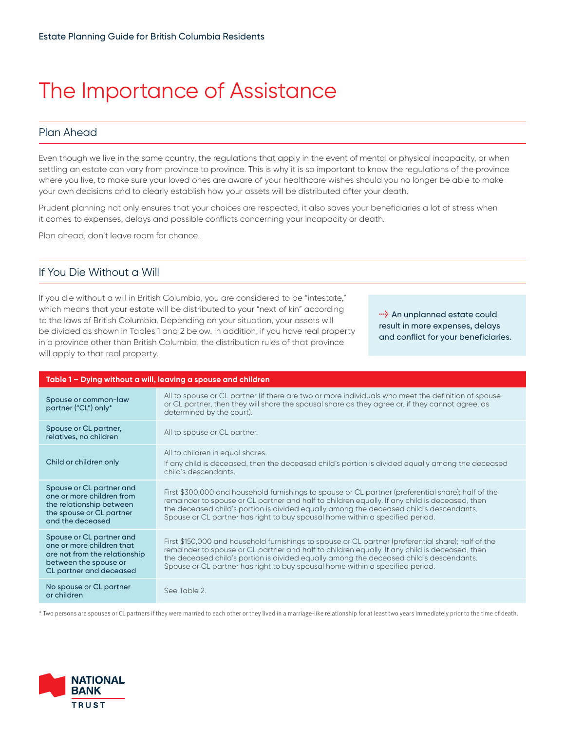# The Importance of Assistance

# Plan Ahead

Even though we live in the same country, the regulations that apply in the event of mental or physical incapacity, or when settling an estate can vary from province to province. This is why it is so important to know the regulations of the province where you live, to make sure your loved ones are aware of your healthcare wishes should you no longer be able to make your own decisions and to clearly establish how your assets will be distributed after your death.

Prudent planning not only ensures that your choices are respected, it also saves your beneficiaries a lot of stress when it comes to expenses, delays and possible conflicts concerning your incapacity or death.

Plan ahead, don't leave room for chance.

## If You Die Without a Will

If you die without a will in British Columbia, you are considered to be "intestate," which means that your estate will be distributed to your "next of kin" according to the laws of British Columbia. Depending on your situation, your assets will be divided as shown in Tables 1 and 2 below. In addition, if you have real property in a province other than British Columbia, the distribution rules of that province will apply to that real property.

**<sup>1</sup>** An unplanned estate could result in more expenses, delays and conflict for your beneficiaries.

| Table 1 – Dying without a will, leaving a spouse and children                                                                              |                                                                                                                                                                                                                                                                                                                                                                                   |  |
|--------------------------------------------------------------------------------------------------------------------------------------------|-----------------------------------------------------------------------------------------------------------------------------------------------------------------------------------------------------------------------------------------------------------------------------------------------------------------------------------------------------------------------------------|--|
| Spouse or common-law<br>partner ("CL") only*                                                                                               | All to spouse or CL partner (if there are two or more individuals who meet the definition of spouse<br>or CL partner, then they will share the spousal share as they agree or, if they cannot agree, as<br>determined by the court).                                                                                                                                              |  |
| Spouse or CL partner,<br>relatives, no children                                                                                            | All to spouse or CL partner.                                                                                                                                                                                                                                                                                                                                                      |  |
| Child or children only                                                                                                                     | All to children in equal shares.<br>If any child is deceased, then the deceased child's portion is divided equally among the deceased<br>child's descendants.                                                                                                                                                                                                                     |  |
| Spouse or CL partner and<br>one or more children from<br>the relationship between<br>the spouse or CL partner<br>and the deceased          | First \$300,000 and household furnishings to spouse or CL partner (preferential share); half of the<br>remainder to spouse or CL partner and half to children equally. If any child is deceased, then<br>the deceased child's portion is divided equally among the deceased child's descendants.<br>Spouse or CL partner has right to buy spousal home within a specified period. |  |
| Spouse or CL partner and<br>one or more children that<br>are not from the relationship<br>between the spouse or<br>CL partner and deceased | First \$150,000 and household furnishings to spouse or CL partner (preferential share); half of the<br>remainder to spouse or CL partner and half to children equally. If any child is deceased, then<br>the deceased child's portion is divided equally among the deceased child's descendants.<br>Spouse or CL partner has right to buy spousal home within a specified period. |  |
| No spouse or CL partner<br>or children                                                                                                     | See Table 2.                                                                                                                                                                                                                                                                                                                                                                      |  |

\* Two persons are spouses or CL partners if they were married to each other or they lived in a marriage-like relationship for at least two years immediately prior to the time of death.

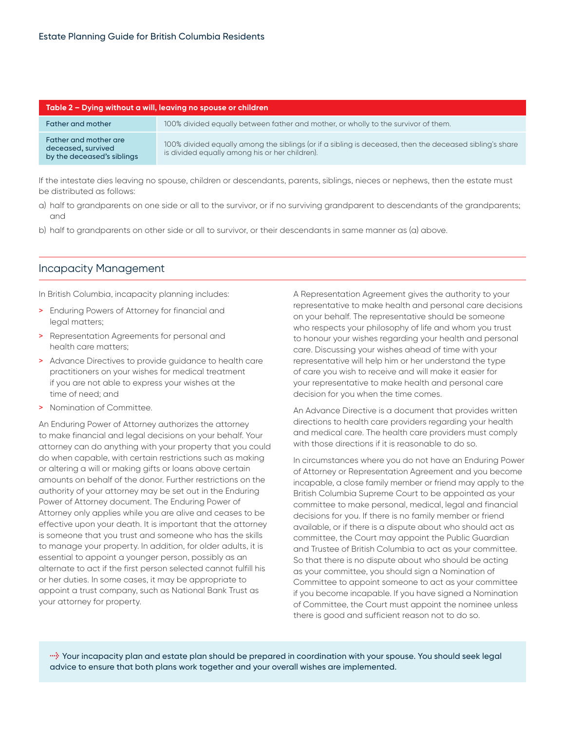| Table 2 – Dying without a will, leaving no spouse or children             |                                                                                                                                                           |  |
|---------------------------------------------------------------------------|-----------------------------------------------------------------------------------------------------------------------------------------------------------|--|
| Father and mother                                                         | 100% divided equally between father and mother, or wholly to the survivor of them.                                                                        |  |
| Father and mother are<br>deceased, survived<br>by the deceased's siblings | 100% divided equally among the siblings (or if a sibling is deceased, then the deceased sibling's share<br>is divided equally among his or her children). |  |

If the intestate dies leaving no spouse, children or descendants, parents, siblings, nieces or nephews, then the estate must be distributed as follows:

- a) half to grandparents on one side or all to the survivor, or if no surviving grandparent to descendants of the grandparents; and
- b) half to grandparents on other side or all to survivor, or their descendants in same manner as (a) above.

#### Incapacity Management

In British Columbia, incapacity planning includes:

- > Enduring Powers of Attorney for financial and legal matters;
- > Representation Agreements for personal and health care matters;
- > Advance Directives to provide guidance to health care practitioners on your wishes for medical treatment if you are not able to express your wishes at the time of need; and
- > Nomination of Committee.

An Enduring Power of Attorney authorizes the attorney to make financial and legal decisions on your behalf. Your attorney can do anything with your property that you could do when capable, with certain restrictions such as making or altering a will or making gifts or loans above certain amounts on behalf of the donor. Further restrictions on the authority of your attorney may be set out in the Enduring Power of Attorney document. The Enduring Power of Attorney only applies while you are alive and ceases to be effective upon your death. It is important that the attorney is someone that you trust and someone who has the skills to manage your property. In addition, for older adults, it is essential to appoint a younger person, possibly as an alternate to act if the first person selected cannot fulfill his or her duties. In some cases, it may be appropriate to appoint a trust company, such as National Bank Trust as your attorney for property.

A Representation Agreement gives the authority to your representative to make health and personal care decisions on your behalf. The representative should be someone who respects your philosophy of life and whom you trust to honour your wishes regarding your health and personal care. Discussing your wishes ahead of time with your representative will help him or her understand the type of care you wish to receive and will make it easier for your representative to make health and personal care decision for you when the time comes.

An Advance Directive is a document that provides written directions to health care providers regarding your health and medical care. The health care providers must comply with those directions if it is reasonable to do so.

In circumstances where you do not have an Enduring Power of Attorney or Representation Agreement and you become incapable, a close family member or friend may apply to the British Columbia Supreme Court to be appointed as your committee to make personal, medical, legal and financial decisions for you. If there is no family member or friend available, or if there is a dispute about who should act as committee, the Court may appoint the Public Guardian and Trustee of British Columbia to act as your committee. So that there is no dispute about who should be acting as your committee, you should sign a Nomination of Committee to appoint someone to act as your committee if you become incapable. If you have signed a Nomination of Committee, the Court must appoint the nominee unless there is good and sufficient reason not to do so.

**l** Your incapacity plan and estate plan should be prepared in coordination with your spouse. You should seek legal advice to ensure that both plans work together and your overall wishes are implemented.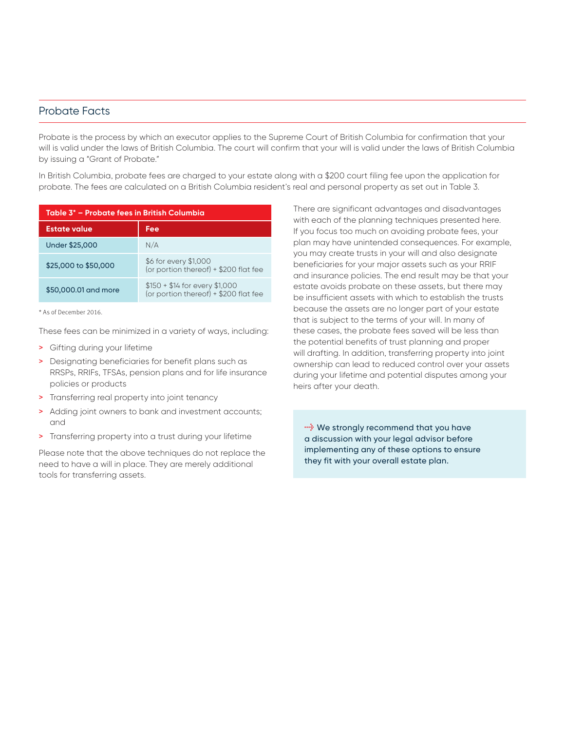### Probate Facts

Probate is the process by which an executor applies to the Supreme Court of British Columbia for confirmation that your will is valid under the laws of British Columbia. The court will confirm that your will is valid under the laws of British Columbia by issuing a "Grant of Probate."

In British Columbia, probate fees are charged to your estate along with a \$200 court filing fee upon the application for probate. The fees are calculated on a British Columbia resident's real and personal property as set out in Table 3.

| Table 3* – Probate fees in British Columbia |                                                                         |  |
|---------------------------------------------|-------------------------------------------------------------------------|--|
| <b>Estate value</b>                         | Fee                                                                     |  |
| Under \$25,000                              | N/A                                                                     |  |
| \$25,000 to \$50,000                        | \$6 for every \$1,000<br>(or portion thereof) + \$200 flat fee          |  |
| \$50,000.01 and more                        | $$150 + $14$ for every \$1,000<br>(or portion thereof) + \$200 flat fee |  |

\* As of December 2016.

These fees can be minimized in a variety of ways, including:

- > Gifting during your lifetime
- > Designating beneficiaries for benefit plans such as RRSPs, RRIFs, TFSAs, pension plans and for life insurance policies or products
- > Transferring real property into joint tenancy
- > Adding joint owners to bank and investment accounts; and
- > Transferring property into a trust during your lifetime

Please note that the above techniques do not replace the need to have a will in place. They are merely additional tools for transferring assets.

There are significant advantages and disadvantages with each of the planning techniques presented here. If you focus too much on avoiding probate fees, your plan may have unintended consequences. For example, you may create trusts in your will and also designate beneficiaries for your major assets such as your RRIF and insurance policies. The end result may be that your estate avoids probate on these assets, but there may be insufficient assets with which to establish the trusts because the assets are no longer part of your estate that is subject to the terms of your will. In many of these cases, the probate fees saved will be less than the potential benefits of trust planning and proper will drafting. In addition, transferring property into joint ownership can lead to reduced control over your assets during your lifetime and potential disputes among your heirs after your death.

*l* We strongly recommend that you have a discussion with your legal advisor before implementing any of these options to ensure they fit with your overall estate plan.